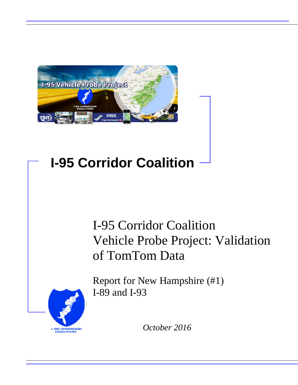

## **I-95 Corridor Coalition**

## I-95 Corridor Coalition Vehicle Probe Project: Validation of TomTom Data



Report for New Hampshire (#1) I-89 and I-93

*October 2016*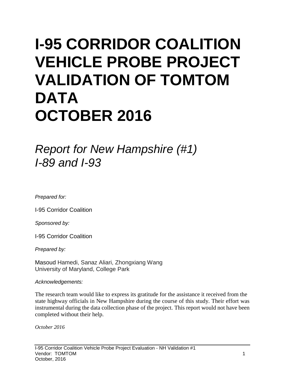# **I-95 CORRIDOR COALITION VEHICLE PROBE PROJECT VALIDATION OF TOMTOM DATA OCTOBER 2016**

*Report for New Hampshire (#1) I-89 and I-93*

*Prepared for:*

I-95 Corridor Coalition

*Sponsored by:*

I-95 Corridor Coalition

*Prepared by:*

Masoud Hamedi, Sanaz Aliari, Zhongxiang Wang University of Maryland, College Park

#### *Acknowledgements:*

The research team would like to express its gratitude for the assistance it received from the state highway officials in New Hampshire during the course of this study. Their effort was instrumental during the data collection phase of the project. This report would not have been completed without their help.

*October 2016*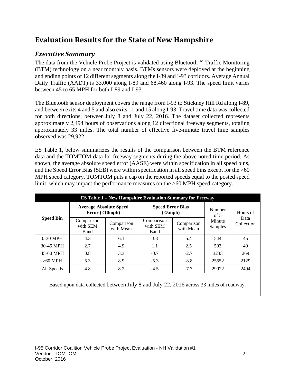## **Evaluation Results for the State of New Hampshire**

## *Executive Summary*

The data from the Vehicle Probe Project is validated using Bluetooth<sup>TM</sup> Traffic Monitoring (BTM) technology on a near monthly basis. BTMs sensors were deployed at the beginning and ending points of 12 different segments along the I-89 and I-93 corridors. Average Annual Daily Traffic (AADT) is 33,000 along I-89 and 68,460 along I-93. The speed limit varies between 45 to 65 MPH for both I-89 and I-93.

The Bluetooth sensor deployment covers the range from I-93 to Stickney Hill Rd along I-89, and between exits 4 and 5 and also exits 11 and 15 along I-93. Travel time data was collected for both directions, between July 8 and July 22, 2016. The dataset collected represents approximately 2,494 hours of observations along 12 directional freeway segments, totaling approximately 33 miles. The total number of effective five-minute travel time samples observed was 29,922.

ES Table 1, below summarizes the results of the comparison between the BTM reference data and the TOMTOM data for freeway segments during the above noted time period. As shown, the average absolute speed error (AASE) were within specification in all speed bins, and the Speed Error Bias (SEB) were within specification in all speed bins except for the >60 MPH speed category. TOMTOM puts a cap on the reported speeds equal to the posted speed limit, which may impact the performance measures on the >60 MPH speed category.

|                  |                                            |                         | <b>ES Table 1 – New Hampshire Evaluation Summary for Freeway</b> |                         |                   |                                |  |
|------------------|--------------------------------------------|-------------------------|------------------------------------------------------------------|-------------------------|-------------------|--------------------------------|--|
| <b>Speed Bin</b> | <b>Average Absolute Speed</b><br>Error(<10 |                         | <b>Speed Error Bias</b><br>(<5 mph)                              |                         | Number<br>of $5$  | Hours of<br>Data<br>Collection |  |
|                  | Comparison<br>with SEM<br>Band             | Comparison<br>with Mean | Comparison<br>with SEM<br>Band                                   | Comparison<br>with Mean | Minute<br>Samples |                                |  |
| $0-30$ MPH       | 4.3                                        | 6.1                     | 3.8                                                              | 5.4                     | 544               | 45                             |  |
| 30-45 MPH        | 2.7                                        | 4.9                     | 1.1                                                              | 2.5                     | 593               | 49                             |  |
| 45-60 MPH        | 0.8                                        | 3.3                     | $-0.7$                                                           | $-2.7$                  | 3233              | 269                            |  |
| $>60$ MPH        | 5.3                                        | 8.9                     | $-5.3$                                                           | $-8.8$                  | 25552             | 2129                           |  |
| All Speeds       | 4.8                                        | 8.2                     | $-4.5$                                                           | $-7.7$                  | 29922             | 2494                           |  |

Based upon data collected between July 8 and July 22, 2016 across 33 miles of roadway.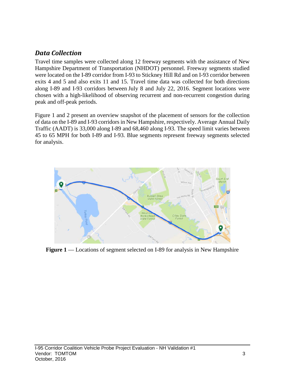### *Data Collection*

Travel time samples were collected along 12 freeway segments with the assistance of New Hampshire Department of Transportation (NHDOT) personnel. Freeway segments studied were located on the I-89 corridor from I-93 to Stickney Hill Rd and on I-93 corridor between exits 4 and 5 and also exits 11 and 15. Travel time data was collected for both directions along I-89 and I-93 corridors between July 8 and July 22, 2016. Segment locations were chosen with a high-likelihood of observing recurrent and non-recurrent congestion during peak and off-peak periods.

Figure 1 and 2 present an overview snapshot of the placement of sensors for the collection of data on the I-89 and I-93 corridors in New Hampshire, respectively. Average Annual Daily Traffic (AADT) is 33,000 along I-89 and 68,460 along I-93. The speed limit varies between 45 to 65 MPH for both I-89 and I-93. Blue segments represent freeway segments selected for analysis.



**Figure 1** — Locations of segment selected on I-89 for analysis in New Hampshire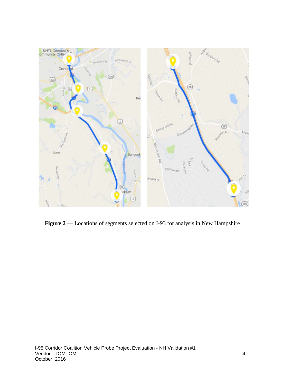

Figure 2 –– Locations of segments selected on I-93 for analysis in New Hampshire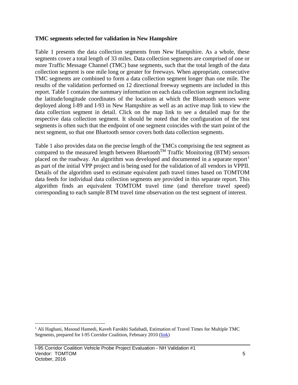#### **TMC segments selected for validation in New Hampshire**

Table 1 presents the data collection segments from New Hampshire. As a whole, these segments cover a total length of 33 miles. Data collection segments are comprised of one or more Traffic Message Channel (TMC) base segments, such that the total length of the data collection segment is one mile long or greater for freeways. When appropriate, consecutive TMC segments are combined to form a data collection segment longer than one mile. The results of the validation performed on 12 directional freeway segments are included in this report. Table 1 contains the summary information on each data collection segment including the latitude/longitude coordinates of the locations at which the Bluetooth sensors were deployed along I-89 and I-93 in New Hampshire as well as an active map link to view the data collection segment in detail. Click on the map link to see a detailed map for the respective data collection segment. It should be noted that the configuration of the test segments is often such that the endpoint of one segment coincides with the start point of the next segment, so that one Bluetooth sensor covers both data collection segments.

Table 1 also provides data on the precise length of the TMCs comprising the test segment as compared to the measured length between Bluetooth<sup>TM</sup> Traffic Monitoring (BTM) sensors placed on the roadway. An algorithm was developed and documented in a separate report<sup>[1](#page-5-0)</sup> as part of the initial VPP project and is being used for the validation of all vendors in VPPII. Details of the algorithm used to estimate equivalent path travel times based on TOMTOM data feeds for individual data collection segments are provided in this separate report. This algorithm finds an equivalent TOMTOM travel time (and therefore travel speed) corresponding to each sample BTM travel time observation on the test segment of interest.

<span id="page-5-0"></span><sup>&</sup>lt;sup>1</sup> Ali Haghani, Masoud Hamedi, Kaveh Farokhi Sadabadi, Estimation of Travel Times for Multiple TMC Segments, prepared for I-95 Corridor Coalition, February 2010 [\(link\)](http://www.i95coalition.org/wp-content/uploads/2015/02/I-95-CC-Estimation-of-Travel-Times-for-Multiple-TMC-Segments-FINAL2.pdf)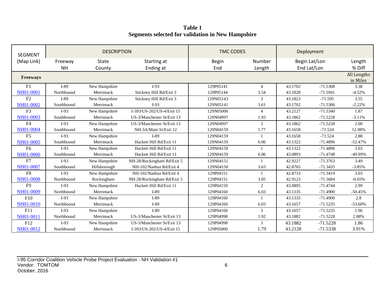**Table 1 Segments selected for validation in New Hampshire**

| <b>SEGMENT</b>  |            | <b>DESCRIPTION</b> |                            |              | <b>TMC CODES</b> |         |               |                         |
|-----------------|------------|--------------------|----------------------------|--------------|------------------|---------|---------------|-------------------------|
| (Map Link)      | Freeway    | <b>State</b>       | Starting at                | <b>Begin</b> | Number           |         | Begin Lat/Lon | Length                  |
|                 | <b>NH</b>  | County             | Ending at                  | End          | Length           |         | End Lat/Lon   | % Diff                  |
| <b>Freeways</b> |            |                    |                            |              |                  |         |               | All Lengths<br>in Miles |
| F1              | $I-89$     | New Hampshire      | $I-93$                     | 129P05141    | $\overline{4}$   | 43.1702 | $-71.5308$    | 3.38                    |
| NH01-0001       | Northbound | Merrimack          | Stickney Hill Rd/Exit 3    | 129P05144    | 3.54             | 43.1828 | $-71.5941$    | $-4.52%$                |
| F2              | $I-89$     | New Hampshire      | Stickney Hill Rd/Exit 3    | 129N05143    | 3                | 43.1823 | $-71.595$     | 3.55                    |
| NH01-0002       | Southbound | Merrimack          | $I-93$                     | 129N05141    | 3.61             | 43.1702 | $-71.5306$    | $-2.22%$                |
| F <sub>3</sub>  | $I-93$     | New Hampshire      | I-393/US-202/US-4/Exit 15  | 129N05000    | $\overline{4}$   | 43.2127 | $-71.5340$    | 1.87                    |
| NH01-0003       | Southbound | Merrimack          | US-3/Manchester St/Exit 13 | 129N04997    | 1.93             | 43.1862 | $-71.5228$    | $-3.11%$                |
| F <sub>4</sub>  | $I-93$     | New Hampshire      | US-3/Manchester St/Exit 13 | 129N04997    | 3                | 43.1862 | $-71.5228$    | 2.00                    |
| NH01-0004       | Southbound | Merrimack          | NH-3A/Main St/Exit 12      | 129N04159    | 1.77             | 43.1658 | $-71.524$     | 12.98%                  |
| F <sub>5</sub>  | $I-93$     | New Hampshire      | $I-89$                     | 129N04159    | $\overline{1}$   | 43.1658 | $-71.524$     | 2.88                    |
| NH01-0005       | Southbound | Merrimack          | Hackett Hill Rd/Exit 11    | 129N04159    | 6.06             | 43.1322 | $-71.4896$    | $-52.47%$               |
| F <sub>6</sub>  | $I-93$     | New Hampshire      | Hackett Hill Rd/Exit 11    | 129N04159    | $\mathbf{1}$     | 43.1322 | $-71.4896$    | 3.03                    |
| NH01-0006       | Southbound | Merrimack          | Hackett Hill Rd/Exit 11    | 129N04159    | 6.06             | 43.0893 | $-71.4748$    | -49.99%                 |
| F7              | $I-93$     | New Hampshire      | NH-28/Rockingham Rd/Exit 5 | 129N04151    | $\mathbf{1}$     | 42.9227 | $-71.3763$    | 3.49                    |
| NH01-0007       | Southbound | Hillsborough       | NH-102/Nashua Rd/Exit 4    | 129N04150    | 3.63             | 42.8765 | $-71.3435$    | $-3.85%$                |
| ${\rm F}8$      | $I-93$     | New Hampshire      | NH-102/Nashua Rd/Exit 4    | 129P04151    |                  | 42.8733 | $-71.3419$    | 3.03                    |
| NH01-0008       | Northbound | Rockingham         | NH-28/Rockingham Rd/Exit 5 | 129P04151    | 3.05             | 42.9123 | $-71.3684$    | $-0.65%$                |
| F <sub>9</sub>  | $I-93$     | New Hampshire      | Hackett Hill Rd/Exit 11    | 129P04159    | $\overline{2}$   | 43.0895 | $-71.4744$    | 2.99                    |
| NH01-0009       | Northbound | Merrimack          | $I-89$                     | 129P04160    | 6.03             | 43.1335 | $-71.4900$    | $-50.45%$               |
| F10             | $I-93$     | New Hampshire      | $I-89$                     | 129P04160    |                  | 43.1335 | $-71.4900$    | 2.8                     |
| NH01-0010       | Northbound | Merrimack          | $I-89$                     | 129P04160    | 6.03             | 43.1657 | $-71.5235$    | $-53.60%$               |
| F11             | $I-93$     | New Hampshire      | $I-89$                     | 129P04160    | 3                | 43.1657 | $-71.5235$    | 1.96                    |
| NH01-0011       | Northbound | Merrimack          | US-3/Manchester St/Exit 13 | 129P04998    | 1.92             | 43.1882 | $-71.5228$    | 2.08%                   |
| F12             | $I-93$     | New Hampshire      | US-3/Manchester St/Exit 13 | 129P04998    | 3                | 43.1882 | $-71.5228$    | 1.86                    |
| NH01-0012       | Northbound | Merrimack          | I-393/US-202/US-4/Exit 15  | 129P05000    | 1.79             | 43.2128 | $-71.5338$    | 3.91%                   |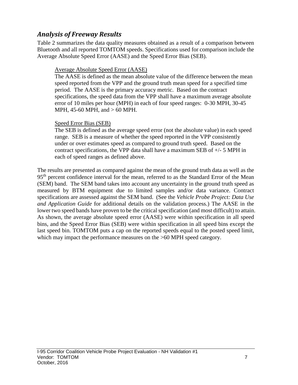### *Analysis of Freeway Results*

Table 2 summarizes the data quality measures obtained as a result of a comparison between Bluetooth and all reported TOMTOM speeds. Specifications used for comparison include the Average Absolute Speed Error (AASE) and the Speed Error Bias (SEB).

#### Average Absolute Speed Error (AASE)

The AASE is defined as the mean absolute value of the difference between the mean speed reported from the VPP and the ground truth mean speed for a specified time period. The AASE is the primary accuracy metric. Based on the contract specifications, the speed data from the VPP shall have a maximum average absolute error of 10 miles per hour (MPH) in each of four speed ranges: 0-30 MPH, 30-45 MPH, 45-60 MPH, and > 60 MPH.

#### Speed Error Bias (SEB)

The SEB is defined as the average speed error (not the absolute value) in each speed range. SEB is a measure of whether the speed reported in the VPP consistently under or over estimates speed as compared to ground truth speed. Based on the contract specifications, the VPP data shall have a maximum SEB of +/- 5 MPH in each of speed ranges as defined above.

The results are presented as compared against the mean of the ground truth data as well as the 95<sup>th</sup> percent confidence interval for the mean, referred to as the Standard Error of the Mean (SEM) band. The SEM band takes into account any uncertainty in the ground truth speed as measured by BTM equipment due to limited samples and/or data variance. Contract specifications are assessed against the SEM band. (See the *Vehicle Probe Project: Data Use and Application Guide* for additional details on the validation process.) The AASE in the lower two speed bands have proven to be the critical specification (and most difficult) to attain. As shown, the average absolute speed error (AASE) were within specification in all speed bins, and the Speed Error Bias (SEB) were within specification in all speed bins except the last speed bin. TOMTOM puts a cap on the reported speeds equal to the posted speed limit, which may impact the performance measures on the  $>60$  MPH speed category.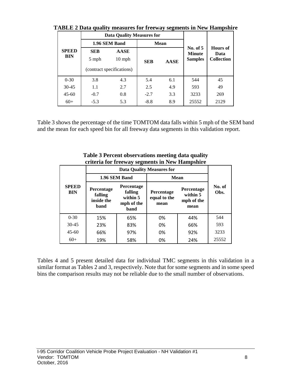|                            |                           | <b>Data Quality Measures for</b> |                             |                         |                |                   |  |
|----------------------------|---------------------------|----------------------------------|-----------------------------|-------------------------|----------------|-------------------|--|
| <b>SPEED</b><br><b>BIN</b> |                           | 1.96 SEM Band                    |                             | <b>Mean</b>             |                |                   |  |
|                            | <b>AASE</b><br><b>SEB</b> |                                  | No. of $5$<br><b>Minute</b> | <b>Hours</b> of<br>Data |                |                   |  |
|                            | 5 mph                     | $10 \text{ mph}$<br><b>SEB</b>   |                             | <b>AASE</b>             | <b>Samples</b> | <b>Collection</b> |  |
|                            |                           | (contract specifications)        |                             |                         |                |                   |  |
| $0 - 30$                   | 3.8                       | 4.3                              | 5.4                         | 6.1                     | 544            | 45                |  |
| $30 - 45$                  | 1.1                       | 2.7                              | 2.5                         | 4.9                     | 593            | 49                |  |
| $45 - 60$                  | $-0.7$                    | 0.8                              | $-2.7$                      | 3.3                     | 3233           | 269               |  |
| $60+$                      | $-5.3$                    | 5.3                              | $-8.8$                      | 8.9                     | 25552          | 2129              |  |

**TABLE 2 Data quality measures for freeway segments in New Hampshire**

Table 3 shows the percentage of the time TOMTOM data falls within 5 mph of the SEM band and the mean for each speed bin for all freeway data segments in this validation report.

|                            |                                             | 1.96 SEM Band                                           | <b>Mean</b>                        |                                                     |                |  |
|----------------------------|---------------------------------------------|---------------------------------------------------------|------------------------------------|-----------------------------------------------------|----------------|--|
| <b>SPEED</b><br><b>BIN</b> | Percentage<br>falling<br>inside the<br>band | Percentage<br>falling<br>within 5<br>mph of the<br>band | Percentage<br>equal to the<br>mean | <b>Percentage</b><br>within 5<br>mph of the<br>mean | No. of<br>Obs. |  |
| $0 - 30$                   | 15%                                         | 65%                                                     | 0%                                 | 44%                                                 | 544            |  |
| $30 - 45$                  | 23%                                         | 83%                                                     | 0%                                 | 66%                                                 | 593            |  |
| $45 - 60$                  | 66%                                         | 97%                                                     | 0%                                 | 92%                                                 | 3233           |  |
| $60+$                      | 19%                                         | 58%                                                     | 0%                                 | 24%                                                 | 25552          |  |

**Table 3 Percent observations meeting data quality criteria for freeway segments in New Hampshire**

Tables 4 and 5 present detailed data for individual TMC segments in this validation in a similar format as Tables 2 and 3, respectively. Note that for some segments and in some speed bins the comparison results may not be reliable due to the small number of observations.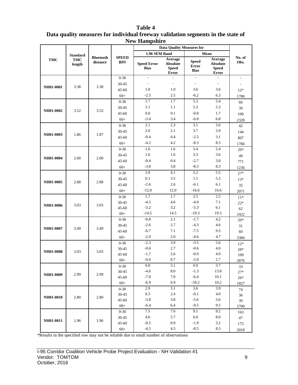|                 |                      |                              |                            | тем пашрыше                       | <b>Data Quality Measures for</b>                           |                                             |                                                            |                          |
|-----------------|----------------------|------------------------------|----------------------------|-----------------------------------|------------------------------------------------------------|---------------------------------------------|------------------------------------------------------------|--------------------------|
| <b>Standard</b> |                      |                              |                            | 1.96 SEM Band                     |                                                            |                                             | Mean                                                       |                          |
| <b>TMC</b>      | <b>TMC</b><br>length | <b>Bluetooth</b><br>distance | <b>SPEED</b><br><b>BIN</b> | <b>Speed Error</b><br><b>Bias</b> | Average<br><b>Absolute</b><br><b>Speed</b><br><b>Error</b> | <b>Speed</b><br><b>Error</b><br><b>Bias</b> | Average<br><b>Absolute</b><br><b>Speed</b><br><b>Error</b> | No. of<br>Obs.           |
|                 |                      |                              | $0 - 30$                   | $\sim$                            | $\overline{a}$                                             | $\mathbb{L}^2$                              | $\overline{a}$                                             | $\overline{\phantom{a}}$ |
|                 |                      |                              | 30-45                      | $\overline{\phantom{a}}$          | $\overline{\phantom{a}}$                                   | $\overline{\phantom{a}}$                    | $\overline{\phantom{a}}$                                   | $\overline{\phantom{a}}$ |
| NH01-0001       | 3.38                 | 3.38                         | $45 - 60$                  | 1.0                               | 1.0                                                        | 3.6                                         | 3.6                                                        | $12*$                    |
|                 |                      |                              | $60+$                      | $-2.5$                            | 2.5                                                        | $-6.2$                                      | 6.3                                                        | 1780                     |
|                 |                      |                              | $0 - 30$                   | 1.7                               | 1.7                                                        | 5.3                                         | 5.4                                                        | 66                       |
| NH01-0002       | 3.52                 | 3.53                         | $30 - 45$                  | 1.1                               | 1.1                                                        | 5.3                                         | 5.3                                                        | 30                       |
|                 |                      |                              | 45-60                      | 0.0                               | 0.1                                                        | $-0.8$                                      | 1.7                                                        | 100                      |
|                 |                      |                              | $60+$                      | $-3.4$                            | 3.4                                                        | $-6.8$                                      | 6.8                                                        | 2328                     |
|                 |                      |                              | $0 - 30$                   | 2.1                               | 2.3                                                        | 3.1                                         | 3.6                                                        | 42                       |
| NH01-0003       | 1.86                 | 1.87                         | $30 - 45$                  | $2.0\,$                           | 2.1                                                        | 3.7                                         | 3.9                                                        | 144                      |
|                 |                      |                              | $45 - 60$                  | $-0.4$                            | 0.4                                                        | $-2.5$                                      | 3.1                                                        | 807                      |
|                 |                      |                              | $60+$                      | $-4.2$                            | 4.2                                                        | $-8.3$                                      | 8.3                                                        | 1784                     |
|                 |                      |                              | $0 - 30$                   | 1.6                               | 1.6                                                        | 5.4                                         | 5.4                                                        | $20*$                    |
| NH01-0004       | 2.00                 | 2.00                         | $30 - 45$                  | 1.6                               | 1.6                                                        | 3.3                                         | 3.6                                                        | 40                       |
|                 |                      |                              | $45 - 60$                  | $-0.4$                            | 0.4                                                        | $-2.7$                                      | 3.0                                                        | 771                      |
|                 |                      |                              | $60+$                      | $-3.8$                            | 3.8                                                        | $-8.3$                                      | 8.3                                                        | 1236                     |
|                 |                      |                              | $0 - 30$                   | 3.9                               | 4.1                                                        | 5.2                                         | 5.5                                                        | $27*$                    |
|                 | NH01-0005<br>2.88    | 2.88                         | 30-45                      | 0.1                               | 3.5                                                        | 1.1                                         | 5.3                                                        | $13*$                    |
|                 |                      |                              | 45-60                      | $-2.6$                            | 2.6                                                        | $-6.1$                                      | 6.1                                                        | 35                       |
|                 |                      |                              | $60+$                      | $-12.0$                           | 12.0                                                       | $-16.6$                                     | 16.6                                                       | 2071                     |
|                 |                      |                              | $0 - 30$                   | 1.7                               | 1.7                                                        | 2.5                                         | 2.5                                                        | $11*$                    |
| NH01-0006       | 3.03                 | 3.03                         | 30-45                      | $-4.5$<br>$-3.2$                  | 4.6<br>3.2                                                 | $-4.9$<br>$-5.3$                            | 7.1<br>6.1                                                 | $22*$                    |
|                 |                      |                              | $45 - 60$<br>$60+$         | $-14.5$                           | 14.5                                                       | $-19.3$                                     | 19.3                                                       | 62                       |
|                 |                      |                              | $0 - 30$                   | $-0.8$                            | 2.1                                                        | $-1.7$                                      | 4.2                                                        | 2422<br>$20*$            |
|                 |                      |                              | $30 - 45$                  | $-2.6$                            | 2.7                                                        | $-4.3$                                      | 4.6                                                        | 31                       |
| NH01-0007       | 3.49                 | 3.49                         | $45 - 60$                  | $-6.7$                            | 7.1                                                        | $-7.5$                                      | 9.3                                                        | 60                       |
|                 |                      |                              | $60+$                      | $-2.0$                            | $2.0\,$                                                    | $-4.6$                                      | 4.7                                                        | 3384                     |
|                 |                      |                              | $0 - 30$                   | $-2.3$                            | 3.9                                                        | $-3.5$                                      | 5.6                                                        | $12*$                    |
|                 |                      |                              | 30-45                      | $-0.6$                            | 2.7                                                        | $-0.6$                                      | 4.0                                                        | $28*$                    |
| NH01-0008       | 3.03                 | 3.03                         | $45 - 60$                  | $-1.7$                            | 2.6                                                        | $-0.9$                                      | 4.9                                                        | 109                      |
|                 |                      |                              | $60+$                      | $-0.6$                            | $0.7\,$                                                    | $-2.0$                                      | $2.7\,$                                                    | 2876                     |
|                 |                      |                              | $0-30$                     | 0.8                               | 3.1                                                        | 0.9                                         | 3.7                                                        | 33                       |
|                 |                      |                              | 30-45                      | $-4.6$                            | $8.0\,$                                                    | $-1.3$                                      | 13.8                                                       | $27*$                    |
| NH01-0009       | 2.99                 | 2.99                         | 45-60                      | $-7.0$                            | 7.0                                                        | $-6.4$                                      | 10.1                                                       | $26*$                    |
|                 |                      |                              | $60+$                      | $-6.9$                            | 6.9                                                        | $-10.2$                                     | 10.2                                                       | 1827                     |
|                 |                      |                              | $0 - 30$                   | 2.9                               | 3.1                                                        | 3.6                                         | 3.9                                                        | 74                       |
| NH01-0010       | 2.80                 | 2.80                         | 30-45                      | 0.3                               | 2.4                                                        | $-0.1$                                      | 4.0                                                        | 36                       |
|                 |                      |                              | 45-60                      | $-3.8$                            | 3.8                                                        | $-5.6$                                      | 5.6                                                        | $30\,$                   |
|                 |                      |                              | $60+$                      | $-6.4$                            | 6.4                                                        | $-9.5$                                      | 9.5                                                        | 2700                     |
|                 |                      |                              | $0 - 30$                   | 7.5                               | 7.6                                                        | 9.1                                         | 9.2                                                        | 163                      |
| NH01-0011       | 1.96                 | 1.96                         | 30-45                      | 4.6                               | 5.7                                                        | 6.0                                         | 8.0                                                        | 47                       |
|                 |                      |                              | 45-60                      | $-0.5$                            | 0.9                                                        | $-1.9$                                      | 3.2                                                        | 175                      |
|                 |                      |                              | $60+$                      | $-4.5$                            | 4.5                                                        | $-8.5$                                      | 8.5                                                        | 2018                     |

#### **Table 4 Data quality measures for individual freeway validation segments in the state of New Hampshire**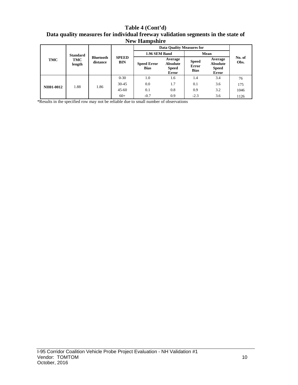**Table 4 (Cont'd) Data quality measures for individual freeway validation segments in the state of New Hampshire**

|                  |                 |                              |                            | <b>Data Quality Measures for</b>  |                                                            |                                             |                                              |                |  |
|------------------|-----------------|------------------------------|----------------------------|-----------------------------------|------------------------------------------------------------|---------------------------------------------|----------------------------------------------|----------------|--|
| TMC              | <b>Standard</b> | <b>Bluetooth</b><br>distance |                            |                                   | 1.96 SEM Band                                              |                                             | Mean                                         |                |  |
|                  | TMC<br>length   |                              | <b>SPEED</b><br><b>BIN</b> | <b>Speed Error</b><br><b>Bias</b> | Average<br><b>Absolute</b><br><b>Speed</b><br><b>Error</b> | <b>Speed</b><br><b>Error</b><br><b>Bias</b> | Average<br>Absolute<br><b>Speed</b><br>Error | No. of<br>Obs. |  |
| <b>NH01-0012</b> | 1.88            | 1.86                         | $0 - 30$                   | 1.0                               | 1.6                                                        | 1.4                                         | 3.4                                          | 76             |  |
|                  |                 |                              | $30 - 45$                  | 0.0                               | 1.7                                                        | 0.1                                         | 3.6                                          | 175            |  |
|                  |                 |                              | $45 - 60$                  | 0.1                               | 0.8                                                        | 0.9                                         | 3.2                                          | 1046           |  |
|                  |                 |                              | $60+$                      | $-0.7$                            | 0.9                                                        | $-2.3$                                      | 3.6                                          | 1126           |  |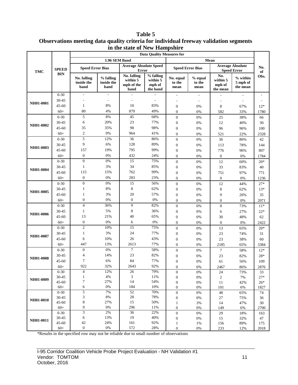**Table 5 Observations meeting data quality criteria for individual freeway validation segments in the state of New Hampshire**

|            | $1.1011$ $1.4111$<br>$\sim$<br><b>Data Quality Measures for</b> |                                          |                                 |                                               |                                             |                                      |                           |                                       |                                               |               |
|------------|-----------------------------------------------------------------|------------------------------------------|---------------------------------|-----------------------------------------------|---------------------------------------------|--------------------------------------|---------------------------|---------------------------------------|-----------------------------------------------|---------------|
|            |                                                                 |                                          | 1.96 SEM Band                   |                                               |                                             |                                      | Mean                      |                                       |                                               |               |
| <b>TMC</b> | <b>SPEED</b>                                                    | <b>Speed Error Bias</b>                  |                                 | <b>Average Absolute Speed</b><br><b>Error</b> |                                             | <b>Speed Error Bias</b>              |                           |                                       | <b>Average Absolute</b><br><b>Speed Error</b> | No.<br>of     |
|            | <b>BIN</b>                                                      | <b>No. falling</b><br>inside the<br>band | % falling<br>inside the<br>band | No. falling<br>within 5<br>mph of the<br>band | % falling<br>within 5<br>mph of<br>the band | No. equal<br>to the<br>mean          | % equal<br>to the<br>mean | No.<br>within 5<br>mph of<br>the mean | % within<br>5 mph of<br>the mean              | Obs.          |
|            | $0 - 30$                                                        | $\overline{\phantom{a}}$                 | $\overline{\phantom{a}}$        |                                               |                                             |                                      | $\overline{\phantom{a}}$  |                                       |                                               |               |
| NH01-0001  | 30-45                                                           |                                          |                                 |                                               | $\overline{a}$                              |                                      | $\overline{\phantom{a}}$  |                                       | $\overline{\phantom{a}}$                      |               |
|            | 45-60                                                           | $\mathbf{1}$                             | 8%                              | 10                                            | 83%                                         | $\boldsymbol{0}$                     | 0%                        | 8                                     | 67%                                           | $12*$         |
|            | $60+$                                                           | 80                                       | 4%                              | 879                                           | 49%                                         | $\theta$                             | 0%                        | 582                                   | 33%                                           | 1780          |
|            | $0 - 30$                                                        | 5                                        | 8%                              | 45                                            | 68%                                         | $\mathbf{0}$                         | 0%                        | 25                                    | 38%                                           | 66            |
|            | 30-45                                                           | 6                                        | 20%                             | 23                                            | 77%                                         | $\boldsymbol{0}$                     | 0%                        | 12                                    | 40%                                           | 30            |
| NH01-0002  | $45 - 60$                                                       | 35                                       | 35%                             | 98                                            | 98%                                         | $\boldsymbol{0}$                     | 0%                        | 96                                    | 96%                                           | 100           |
|            | $60+$                                                           | $\overline{c}$                           | 0%                              | 964                                           | 41%                                         | $\boldsymbol{0}$                     | 0%                        | 521                                   | 22%                                           | 2328          |
|            | $0 - 30$                                                        | 5                                        | 12%                             | 36                                            | 86%                                         | $\boldsymbol{0}$                     | 0%                        | 36                                    | 86%                                           | 42            |
| NH01-0003  | 30-45                                                           | 9                                        | 6%                              | 128                                           | 89%                                         | $\boldsymbol{0}$                     | 0%                        | 113                                   | 78%                                           | 144           |
|            | 45-60                                                           | 157                                      | 19%                             | 795                                           | 99%                                         | $\mathbf{0}$                         | 0%                        | 776                                   | 96%                                           | 807           |
|            | $60+$                                                           | $\mathbf{0}$                             | 0%                              | 432                                           | 24%                                         | $\mathbf{0}$                         | 0%                        | $\boldsymbol{0}$                      | 0%                                            | 1784          |
|            | $0 - 30$                                                        | $\boldsymbol{0}$                         | 0%                              | 15                                            | 75%                                         | $\boldsymbol{0}$                     | 0%                        | 12                                    | 60%                                           | $20*$         |
| NH01-0004  | 30-45                                                           | $\mathbf{1}$                             | 3%                              | 34                                            | 85%                                         | $\mathbf{0}$                         | 0%                        | 33                                    | 83%                                           | 40            |
|            | 45-60                                                           | 115                                      | 15%                             | 762                                           | 99%                                         | $\boldsymbol{0}$                     | 0%                        | 751                                   | 97%                                           | 771           |
|            | $60+$                                                           | $\boldsymbol{0}$                         | 0%                              | 283                                           | 23%                                         | $\mathbf{0}$                         | 0%                        | $\boldsymbol{0}$                      | 0%                                            | 1236          |
|            | $0 - 30$                                                        | $\overline{0}$                           | 0%                              | 15                                            | 56%                                         | $\mathbf{0}$                         | 0%                        | 12                                    | 44%                                           | $27*$         |
| NH01-0005  | 30-45                                                           | $\mathbf{1}$                             | 8%                              | 8                                             | 62%                                         | $\boldsymbol{0}$                     | 0%                        | 8                                     | 62%                                           | $13*$         |
|            | $45 - 60$                                                       | $\mathbf{1}$                             | 3%                              | $20\,$                                        | 57%                                         | $\boldsymbol{0}$                     | 0%                        | 9                                     | 26%                                           | 35            |
|            | $60+$                                                           | $\boldsymbol{0}$                         | 0%                              | $\boldsymbol{0}$                              | 0%                                          |                                      |                           |                                       |                                               |               |
|            | $0 - 30$                                                        | $\overline{4}$                           | 36%                             | 9                                             | 82%                                         | $\boldsymbol{0}$                     | 0%                        | 0                                     | 0%                                            | 2071<br>$11*$ |
|            |                                                                 | $\mathbf{1}$                             | 5%                              | 8                                             | 36%                                         | $\boldsymbol{0}$                     | 0%                        | 8                                     | 73%                                           |               |
| NH01-0006  | 30-45                                                           | 13                                       | 21%                             | 40                                            | 65%                                         | $\mathbf{0}$                         | 0%                        | 6                                     | 27%                                           | $22*$         |
|            | 45-60                                                           | $\boldsymbol{0}$                         | 0%                              |                                               |                                             | $\boldsymbol{0}$                     | 0%                        | 30                                    | 48%                                           | 62            |
|            | $60+$                                                           |                                          |                                 | 6                                             | 0%                                          | $\mathbf{0}$                         | 0%                        | $\boldsymbol{0}$                      | 0%                                            | 2422          |
|            | $0 - 30$                                                        | $\overline{c}$                           | 10%                             | 15                                            | 75%                                         | $\mathbf{0}$                         | 0%                        | 13                                    | 65%                                           | 20*           |
| NH01-0007  | 30-45                                                           | $\mathbf{1}$                             | 3%                              | 24                                            | 77%                                         | $\boldsymbol{0}$                     | 0%                        | 23                                    | 74%                                           | 31            |
|            | $45 - 60$                                                       | 6                                        | 10%                             | 26                                            | 43%                                         | $\boldsymbol{0}$                     | 0%                        | 23                                    | 38%                                           | 60            |
|            | $60+$                                                           | 447                                      | 13%                             | 2613                                          | 77%                                         | $\boldsymbol{0}$                     | 0%                        | 2185                                  | 65%                                           | 3384          |
|            | $0 - 30$                                                        | $\mathbf{0}$                             | 0%                              | $\overline{7}$                                | 58%                                         | $\boldsymbol{0}$                     | 0%                        | 7                                     | 58%                                           | $12*$         |
| NH01-0008  | 30-45                                                           | $\overline{4}$                           | 14%                             | 23                                            | 82%                                         | $\boldsymbol{0}$                     | 0%                        | 23                                    | 82%                                           | $28*$         |
|            | 45-60                                                           | 7                                        | 6%                              | 84                                            | 77%                                         | $\mathbf{0}$                         | 0%                        | 61                                    | 56%                                           | 109           |
|            | $60+$                                                           | 922                                      | 32%                             | 2643                                          | 92%                                         | $\Omega$                             | 0%                        | 2467                                  | 86%                                           | 2876          |
|            | $0 - 30$                                                        | $\overline{\mathcal{A}}$                 | 12%                             | $26\,$                                        | 79%                                         | $\boldsymbol{0}$                     | 0%                        | 24                                    | 73%                                           | 33            |
| NH01-0009  | 30-45                                                           | $\mathbf{1}$                             | $4\%$                           | 3                                             | 11%                                         | $\boldsymbol{0}$                     | $0\%$                     | $\overline{c}$                        | 7%                                            | $27*$         |
|            | 45-60                                                           | $\tau$<br>6                              | 27%<br>0%                       | 14                                            | 54%<br>10%                                  | $\boldsymbol{0}$                     | 0%                        | 11                                    | 42%                                           | $26*$         |
|            | $60+$                                                           | 5                                        | 7%                              | 184<br>52                                     | 70%                                         | $\boldsymbol{0}$                     | 0%                        | 101                                   | 6%                                            | 1827          |
|            | $0 - 30$<br>30-45                                               | 3                                        | $8\%$                           | $28\,$                                        | 78%                                         | $\boldsymbol{0}$<br>$\boldsymbol{0}$ | 0%<br>$0\%$               | $\sqrt{48}$<br>27                     | 65%<br>75%                                    | 74<br>36      |
| NH01-0010  | $45 - 60$                                                       | 8                                        | 27%                             | 15                                            | 50%                                         | $\mathbf{1}$                         | 3%                        | 14                                    | 47%                                           | 30            |
|            | $60+$                                                           | 9                                        | 0%                              | 296                                           | 11%                                         | $\boldsymbol{0}$                     | 0%                        | 149                                   | 6%                                            | 2700          |
|            | $0 - 30$                                                        | $\mathfrak 3$                            | 2%                              | 36                                            | 22%                                         | $\boldsymbol{0}$                     | 0%                        | 29                                    | 18%                                           | 163           |
|            | 30-45                                                           | 6                                        | 13%                             | 19                                            | 40%                                         | $\boldsymbol{0}$                     | $0\%$                     | 15                                    | 32%                                           | 47            |
| NH01-0011  | 45-60                                                           | 42                                       | 24%                             | 161                                           | 92%                                         | $\mathbf{1}$                         | 1%                        | 156                                   | 89%                                           | 175           |
|            | $60+$                                                           | $\boldsymbol{0}$                         | $0\%$                           | 572                                           | 28%                                         | $\boldsymbol{0}$                     | $0\%$                     | 233                                   | 12%                                           | 2018          |